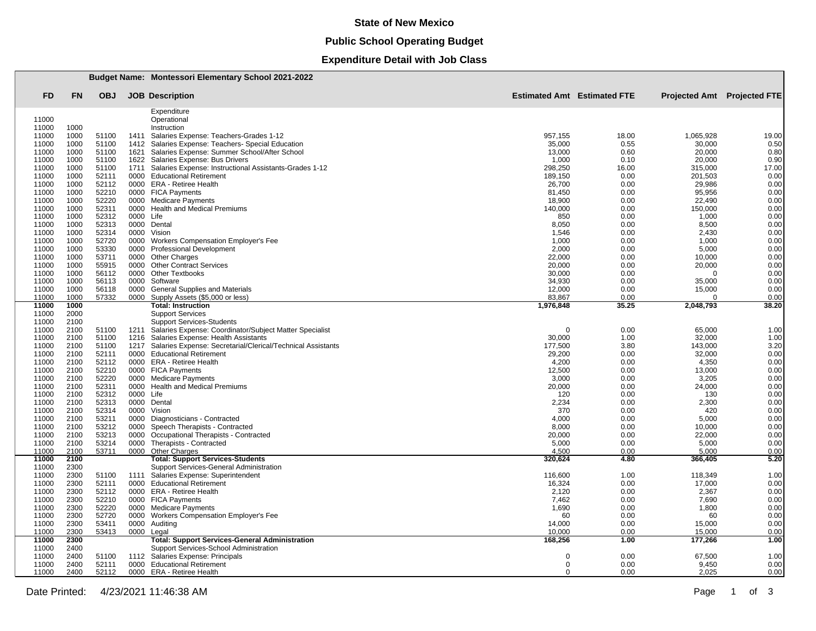### **State of New Mexico**

## **Public School Operating Budget**

## **Expenditure Detail with Job Class**

|                |              |                |              | <b>Budget Name: Montessori Elementary School 2021-2022</b>                              |                  |                                    |                                    |               |  |  |
|----------------|--------------|----------------|--------------|-----------------------------------------------------------------------------------------|------------------|------------------------------------|------------------------------------|---------------|--|--|
| <b>FD</b>      | <b>FN</b>    | <b>OBJ</b>     |              | <b>JOB</b> Description                                                                  |                  | <b>Estimated Amt</b> Estimated FTE | <b>Projected Amt</b> Projected FTE |               |  |  |
|                |              |                |              | Expenditure                                                                             |                  |                                    |                                    |               |  |  |
| 11000          |              |                |              | Operational                                                                             |                  |                                    |                                    |               |  |  |
| 11000          | 1000         |                |              | Instruction                                                                             |                  |                                    |                                    |               |  |  |
| 11000<br>11000 | 1000<br>1000 | 51100<br>51100 | 1411<br>1412 | Salaries Expense: Teachers-Grades 1-12<br>Salaries Expense: Teachers- Special Education | 957,155          | 18.00<br>0.55                      | 1,065,928                          | 19.00<br>0.50 |  |  |
| 11000          | 1000         | 51100          | 1621         | Salaries Expense: Summer School/After School                                            | 35,000<br>13,000 | 0.60                               | 30,000<br>20,000                   | 0.80          |  |  |
| 11000          | 1000         | 51100          | 1622         | Salaries Expense: Bus Drivers                                                           | 1,000            | 0.10                               | 20,000                             | 0.90          |  |  |
| 11000          | 1000         | 51100          | 1711         | Salaries Expense: Instructional Assistants-Grades 1-12                                  | 298,250          | 16.00                              | 315,000                            | 17.00         |  |  |
| 11000          | 1000         | 52111          | 0000         | <b>Educational Retirement</b>                                                           | 189,150          | 0.00                               | 201,503                            | 0.00          |  |  |
| 11000          | 1000         | 52112          |              | 0000 ERA - Retiree Health                                                               | 26,700           | 0.00                               | 29,986                             | 0.00          |  |  |
| 11000          | 1000         | 52210          |              | 0000 FICA Payments                                                                      | 81,450           | 0.00                               | 95,956                             | 0.00          |  |  |
| 11000          | 1000         | 52220          | 0000         | <b>Medicare Payments</b>                                                                | 18,900           | 0.00                               | 22,490                             | 0.00          |  |  |
| 11000          | 1000         | 52311          | 0000         | <b>Health and Medical Premiums</b>                                                      | 140,000          | 0.00                               | 150,000                            | 0.00          |  |  |
| 11000          | 1000         | 52312          | 0000         | Life                                                                                    | 850              | 0.00                               | 1,000                              | 0.00          |  |  |
| 11000          | 1000         | 52313          |              | 0000 Dental                                                                             | 8,050            | 0.00                               | 8,500                              | 0.00          |  |  |
| 11000<br>11000 | 1000<br>1000 | 52314<br>52720 | 0000<br>0000 | Vision<br><b>Workers Compensation Employer's Fee</b>                                    | 1,546            | 0.00<br>0.00                       | 2,430<br>1,000                     | 0.00<br>0.00  |  |  |
| 11000          | 1000         | 53330          | 0000         | <b>Professional Development</b>                                                         | 1,000<br>2,000   | 0.00                               | 5,000                              | 0.00          |  |  |
| 11000          | 1000         | 53711          | 0000         | <b>Other Charges</b>                                                                    | 22,000           | 0.00                               | 10,000                             | 0.00          |  |  |
| 11000          | 1000         | 55915          | 0000         | <b>Other Contract Services</b>                                                          | 20,000           | 0.00                               | 20,000                             | 0.00          |  |  |
| 11000          | 1000         | 56112          | 0000         | <b>Other Textbooks</b>                                                                  | 30,000           | 0.00                               | $\Omega$                           | 0.00          |  |  |
| 11000          | 1000         | 56113          | 0000         | Software                                                                                | 34,930           | 0.00                               | 35,000                             | 0.00          |  |  |
| 11000          | 1000         | 56118          | 0000         | General Supplies and Materials                                                          | 12,000           | 0.00                               | 15,000                             | 0.00          |  |  |
| 11000          | 1000         | 57332          | 0000         | Supply Assets (\$5,000 or less)                                                         | 83,867           | 0.00                               |                                    | 0.00          |  |  |
| 11000          | 1000         |                |              | <b>Total: Instruction</b>                                                               | 1,976,848        | 35.25                              | 2,048,793                          | 38.20         |  |  |
| 11000<br>11000 | 2000<br>2100 |                |              | <b>Support Services</b><br><b>Support Services-Students</b>                             |                  |                                    |                                    |               |  |  |
| 11000          | 2100         | 51100          | 1211         | Salaries Expense: Coordinator/Subject Matter Specialist                                 | $\mathbf 0$      | 0.00                               | 65,000                             | 1.00          |  |  |
| 11000          | 2100         | 51100          | 1216         | Salaries Expense: Health Assistants                                                     | 30,000           | 1.00                               | 32,000                             | 1.00          |  |  |
| 11000          | 2100         | 51100          | 1217         | Salaries Expense: Secretarial/Clerical/Technical Assistants                             | 177,500          | 3.80                               | 143,000                            | 3.20          |  |  |
| 11000          | 2100         | 52111          | 0000         | <b>Educational Retirement</b>                                                           | 29,200           | 0.00                               | 32,000                             | 0.00          |  |  |
| 11000          | 2100         | 52112          |              | 0000 ERA - Retiree Health                                                               | 4,200            | 0.00                               | 4,350                              | 0.00          |  |  |
| 11000          | 2100         | 52210          |              | 0000 FICA Payments                                                                      | 12,500           | 0.00                               | 13,000                             | 0.00          |  |  |
| 11000          | 2100         | 52220          | 0000         | <b>Medicare Payments</b>                                                                | 3,000            | 0.00                               | 3,205                              | 0.00          |  |  |
| 11000          | 2100         | 52311          | 0000         | <b>Health and Medical Premiums</b>                                                      | 20,000           | 0.00                               | 24,000                             | 0.00          |  |  |
| 11000          | 2100         | 52312          | 0000         | Life                                                                                    | 120              | 0.00                               | 130                                | 0.00          |  |  |
| 11000          | 2100         | 52313          |              | 0000 Dental                                                                             | 2,234            | 0.00                               | 2,300                              | 0.00          |  |  |
| 11000          | 2100         | 52314          | 0000         | Vision                                                                                  | 370              | 0.00                               | 420                                | 0.00          |  |  |
| 11000<br>11000 | 2100<br>2100 | 53211<br>53212 | 0000<br>0000 | Diagnosticians - Contracted<br>Speech Therapists - Contracted                           | 4,000<br>8,000   | 0.00<br>0.00                       | 5,000<br>10,000                    | 0.00<br>0.00  |  |  |
| 11000          | 2100         | 53213          | 0000         | Occupational Therapists - Contracted                                                    | 20,000           | 0.00                               | 22,000                             | 0.00          |  |  |
| 11000          | 2100         | 53214          | 0000         | Therapists - Contracted                                                                 | 5,000            | 0.00                               | 5,000                              | 0.00          |  |  |
| 11000          | 2100         | 53711          |              | 0000 Other Charges                                                                      | 4,500            | 0.00                               | 5.000                              | 0.00          |  |  |
| 11000          | 2100         |                |              | <b>Total: Support Services-Students</b>                                                 | 320,624          | 4.80                               | 366,405                            | 5.20          |  |  |
| 11000          | 2300         |                |              | Support Services-General Administration                                                 |                  |                                    |                                    |               |  |  |
| 11000          | 2300         | 51100          | 1111         | Salaries Expense: Superintendent                                                        | 116,600          | 1.00                               | 118,349                            | 1.00          |  |  |
| 11000          | 2300         | 52111          |              | 0000 Educational Retirement                                                             | 16,324           | 0.00                               | 17,000                             | 0.00          |  |  |
| 11000          | 2300         | 52112          |              | 0000 ERA - Retiree Health                                                               | 2,120            | 0.00                               | 2,367                              | 0.00          |  |  |
| 11000          | 2300         | 52210          |              | 0000 FICA Payments                                                                      | 7,462            | 0.00                               | 7,690                              | 0.00          |  |  |
| 11000<br>11000 | 2300<br>2300 | 52220<br>52720 | 0000         | 0000 Medicare Payments<br>Workers Compensation Employer's Fee                           | 1,690<br>60      | 0.00<br>0.00                       | 1,800<br>60                        | 0.00<br>0.00  |  |  |
| 11000          | 2300         | 53411          | 0000         | Auditing                                                                                | 14,000           | 0.00                               | 15.000                             | 0.00          |  |  |
| 11000          | 2300         | 53413          | 0000         | Legal                                                                                   | 10,000           | 0.00                               | 15,000                             | 0.00          |  |  |
| 11000          | 2300         |                |              | <b>Total: Support Services-General Administration</b>                                   | 168,256          | 1.00                               | 177,266                            | 1.00          |  |  |
| 11000          | 2400         |                |              | Support Services-School Administration                                                  |                  |                                    |                                    |               |  |  |
| 11000          | 2400         | 51100          |              | 1112 Salaries Expense: Principals                                                       | $\Omega$         | 0.00                               | 67,500                             | 1.00          |  |  |
| 11000          | 2400         | 52111          |              | 0000 Educational Retirement                                                             | $\mathbf 0$      | 0.00                               | 9,450                              | 0.00          |  |  |
| 11000          | 2400         | 52112          |              | 0000 ERA - Retiree Health                                                               | $\Omega$         | 0.00                               | 2,025                              | 0.00          |  |  |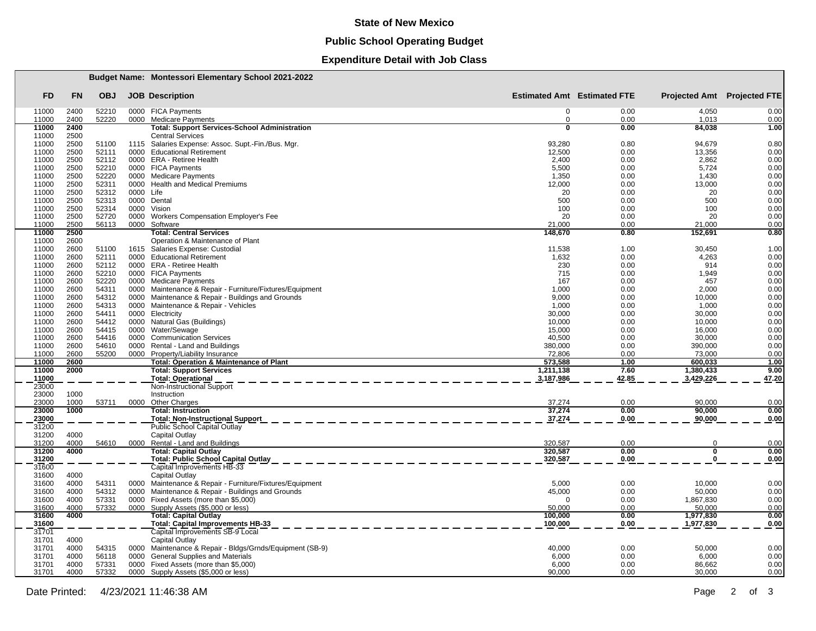### **State of New Mexico**

# **Public School Operating Budget**

## **Expenditure Detail with Job Class**

|                |              |                |           | <b>Budget Name: Montessori Elementary School 2021-2022</b>                     |                            |                                    |                                    |              |
|----------------|--------------|----------------|-----------|--------------------------------------------------------------------------------|----------------------------|------------------------------------|------------------------------------|--------------|
| FD             | <b>FN</b>    | <b>OBJ</b>     |           | <b>JOB</b> Description                                                         |                            | <b>Estimated Amt</b> Estimated FTE | <b>Projected Amt</b> Projected FTE |              |
| 11000          | 2400         | 52210          |           | 0000 FICA Payments                                                             | $\Omega$                   | 0.00                               | 4,050                              | 0.00         |
| 11000<br>11000 | 2400<br>2400 | 52220          |           | 0000 Medicare Payments<br><b>Total: Support Services-School Administration</b> | $\Omega$<br>$\overline{0}$ | 0.00<br>0.00                       | 1,013<br>84,038                    | 0.00<br>1.00 |
| 11000          | 2500         |                |           | <b>Central Services</b>                                                        |                            |                                    |                                    |              |
| 11000          | 2500         | 51100          |           | 1115 Salaries Expense: Assoc. Supt.-Fin./Bus. Mgr.                             | 93,280                     | 0.80                               | 94,679                             | 0.80         |
| 11000          | 2500         | 52111          |           | 0000 Educational Retirement                                                    | 12,500                     | 0.00                               | 13,356                             | 0.00         |
| 11000          | 2500         | 52112          |           | 0000 ERA - Retiree Health                                                      | 2,400                      | 0.00                               | 2,862                              | 0.00         |
| 11000          | 2500         | 52210          |           | 0000 FICA Payments                                                             | 5,500                      | 0.00                               | 5,724                              | 0.00         |
| 11000          | 2500         | 52220          |           | 0000 Medicare Payments                                                         | 1,350                      | 0.00                               | 1,430                              | 0.00         |
| 11000          | 2500         | 52311          |           | 0000 Health and Medical Premiums                                               | 12,000                     | 0.00                               | 13,000                             | 0.00         |
| 11000          | 2500         | 52312          | 0000 Life |                                                                                | 20                         | 0.00                               | 20                                 | 0.00         |
| 11000<br>11000 | 2500<br>2500 | 52313<br>52314 |           | 0000 Dental<br>0000 Vision                                                     | 500<br>100                 | 0.00<br>0.00                       | 500<br>100                         | 0.00<br>0.00 |
| 11000          | 2500         | 52720          |           | 0000 Workers Compensation Employer's Fee                                       | 20                         | 0.00                               | 20                                 | 0.00         |
| 11000          | 2500         | 56113          |           | 0000 Software                                                                  | 21.000                     | 0.00                               | 21.000                             | 0.00         |
| 11000          | 2500         |                |           | <b>Total: Central Services</b>                                                 | 148,670                    | 0.80                               | 152,691                            | 0.80         |
| 11000          | 2600         |                |           | Operation & Maintenance of Plant                                               |                            |                                    |                                    |              |
| 11000          | 2600         | 51100          |           | 1615 Salaries Expense: Custodial                                               | 11,538                     | 1.00                               | 30,450                             | 1.00         |
| 11000          | 2600         | 52111          |           | 0000 Educational Retirement                                                    | 1,632                      | 0.00                               | 4,263                              | 0.00         |
| 11000          | 2600         | 52112          |           | 0000 ERA - Retiree Health                                                      | 230                        | 0.00                               | 914                                | 0.00         |
| 11000          | 2600         | 52210          |           | 0000 FICA Payments                                                             | 715                        | 0.00                               | 1,949                              | 0.00         |
| 11000          | 2600         | 52220          |           | 0000 Medicare Payments                                                         | 167                        | 0.00                               | 457                                | 0.00         |
| 11000          | 2600         | 54311          |           | 0000 Maintenance & Repair - Furniture/Fixtures/Equipment                       | 1,000                      | 0.00                               | 2,000                              | 0.00         |
| 11000          | 2600         | 54312          |           | 0000 Maintenance & Repair - Buildings and Grounds                              | 9,000                      | 0.00                               | 10,000                             | 0.00         |
| 11000          | 2600<br>2600 | 54313<br>54411 |           | 0000 Maintenance & Repair - Vehicles                                           | 1,000<br>30,000            | 0.00                               | 1,000                              | 0.00<br>0.00 |
| 11000<br>11000 | 2600         | 54412          |           | 0000 Electricity<br>0000 Natural Gas (Buildings)                               | 10,000                     | 0.00<br>0.00                       | 30,000<br>10,000                   | 0.00         |
| 11000          | 2600         | 54415          |           | 0000 Water/Sewage                                                              | 15,000                     | 0.00                               | 16,000                             | 0.00         |
| 11000          | 2600         | 54416          | 0000      | <b>Communication Services</b>                                                  | 40,500                     | 0.00                               | 30,000                             | 0.00         |
| 11000          | 2600         | 54610          | 0000      | Rental - Land and Buildings                                                    | 380,000                    | 0.00                               | 390,000                            | 0.00         |
| 11000          | 2600         | 55200          | 0000      | Property/Liability Insurance                                                   | 72.806                     | 0.00                               | 73.000                             | 0.00         |
| 11000          | 2600         |                |           | <b>Total: Operation &amp; Maintenance of Plant</b>                             | 573,588                    | 1.00                               | 600,033                            | 1.00         |
| 11000          | 2000         |                |           | <b>Total: Support Services</b>                                                 | 1,211,138                  | 7.60                               | 1,380,433                          | 9.00         |
| 11000          |              |                |           | <b>Total: Operational</b>                                                      | 3,187,986                  | 42.85                              | 3,429,226                          | 47.20        |
| 23000          |              |                |           | Non-Instructional Support                                                      |                            |                                    |                                    |              |
| 23000          | 1000         |                |           | Instruction                                                                    |                            |                                    |                                    |              |
| 23000          | 1000         | 53711          | 0000      | Other Charges                                                                  | 37.274                     | 0.00                               | 90.000                             | 0.00         |
| 23000          | 1000         |                |           | <b>Total: Instruction</b>                                                      | 37,274                     | 0.00                               | 90,000                             | 0.00         |
| 23000<br>31200 |              |                |           | <b>Total: Non-Instructional Support</b><br>Public School Capital Outlay        | 37,274                     | 0.00                               | 90,000                             | 0.00         |
| 31200          | 4000         |                |           | Capital Outlay                                                                 |                            |                                    |                                    |              |
| 31200          | 4000         | 54610          |           | 0000 Rental - Land and Buildings                                               | 320,587                    | 0.00                               | $\mathbf 0$                        | 0.00         |
| 31200          | 4000         |                |           | <b>Total: Capital Outlay</b>                                                   | 320,587                    | 0.00                               | $\overline{\mathbf{0}}$            | 0.00         |
| 31200          |              |                |           | <b>Total: Public School Capital Outlay</b>                                     | 320,587                    | 0.00                               | $\Omega$                           | 0.00         |
| 31600          |              |                |           | Capital Improvements HB-33                                                     |                            |                                    |                                    |              |
| 31600          | 4000         |                |           | Capital Outlay                                                                 |                            |                                    |                                    |              |
| 31600          | 4000         | 54311          |           | 0000 Maintenance & Repair - Furniture/Fixtures/Equipment                       | 5.000                      | 0.00                               | 10,000                             | 0.00         |
| 31600          | 4000         | 54312          |           | 0000 Maintenance & Repair - Buildings and Grounds                              | 45,000                     | 0.00                               | 50,000                             | 0.00         |
| 31600          | 4000         | 57331          |           | 0000 Fixed Assets (more than \$5,000)                                          | $\Omega$                   | 0.00                               | 1,867,830                          | 0.00         |
| 31600          | 4000         | 57332          |           | 0000 Supply Assets (\$5,000 or less)                                           | 50.000                     | 0.00                               | 50.000                             | 0.00         |
| 31600          | 4000         |                |           | <b>Total: Capital Outlay</b>                                                   | 100,000                    | 0.00                               | 1,977,830                          | 0.00         |
| 31600<br>31701 |              |                |           | Total: Capital Improvements HB-33<br>Capital Improvements SB-9 Local           | 100,000                    | 0.00                               | 1,977,830                          | 0.00         |
| 31701          | 4000         |                |           | Capital Outlay                                                                 |                            |                                    |                                    |              |
| 31701          | 4000         | 54315          |           | 0000 Maintenance & Repair - Bldgs/Grnds/Equipment (SB-9)                       | 40,000                     | 0.00                               | 50,000                             | 0.00         |
| 31701          | 4000         | 56118          |           | 0000 General Supplies and Materials                                            | 6,000                      | 0.00                               | 6,000                              | 0.00         |
| 31701          | 4000         | 57331          |           | 0000 Fixed Assets (more than \$5,000)                                          | 6,000                      | 0.00                               | 86,662                             | 0.00         |
| 31701          | 4000         | 57332          |           | 0000 Supply Assets (\$5,000 or less)                                           | 90,000                     | 0.00                               | 30,000                             | 0.00         |